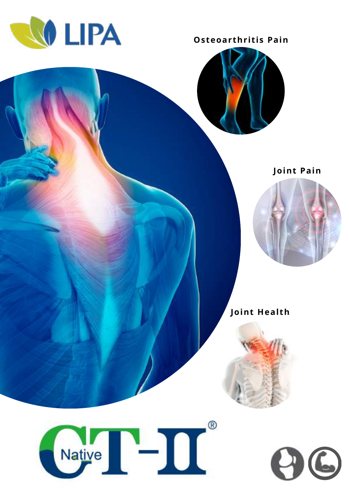

**Osteoarthritis Pain** 



Joint Pain



**Joint Health** 



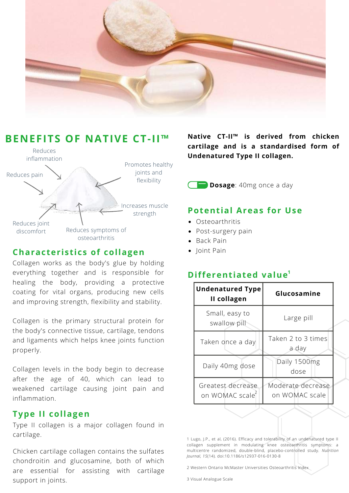



#### **Characteristics of collagen**

Collagen works as the body's glue by holding everything together and is responsible for healing the body, providing a protective coating for vital organs, producing new cells and improving strength, flexibility and stability.

Collagen is the primary structural protein for the body's connective tissue, cartilage, tendons and ligaments which helps knee joints function properly.

Collagen levels in the body begin to decrease after the age of 40, which can lead to weakened cartilage causing joint pain and inflammation.

## **Type II collagen**

Type II collagen is a major collagen found in cartilage.

Chicken cartilage collagen contains the sulfates chondroitin and glucosamine, both of which are essential for assisting with cartilage support in joints.

**Native CT-II™ is derived from chicken cartilage and is a standardised form of Undenatured Type II collagen.**

**Dosage**: 40mg once a day

## **Potential Areas for Use**

- Osteoarthritis
- Post-surgery pain
- Back Pain
- Ioint Pain

## **Differentiated value**<sup>1</sup>

| <b>Undenatured Type</b><br>II collagen | Glucosamine                         |
|----------------------------------------|-------------------------------------|
| Small, easy to<br>swallow pill         | Large pill                          |
| Taken once a day                       | Taken 2 to 3 times<br>a day         |
| Daily 40mg dose                        | Daily 1500mg<br>dose                |
| Greatest decrease<br>on WOMAC scale    | Moderate decrease<br>on WOMAC scale |

1 Lugo, J.P., et al, (2016). Efficacy and tolerability of an undenatured type II collagen supplement in modulating knee osteoarthritis symptoms: a multicentre randomized, double-blind, placebo-controlled study. *Nutrition Journal, 15*(14). doi:10.1186/s12937-016-0130-8

2 Western Ontario McMaster Universities Osteoarthritis Index

3 Visual Analogue Scale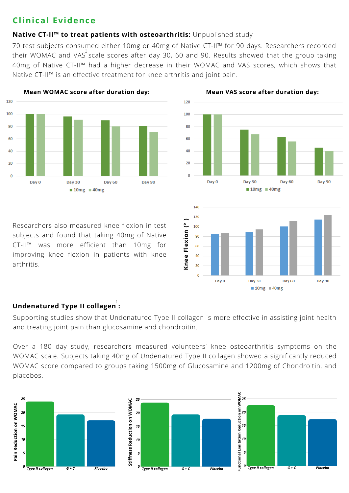## **Clinical Evidence**

#### **Native CT-II™ to treat patients with osteoarthritis:** Unpublished study

70 test subjects consumed either 10mg or 40mg of Native CT-II™ for 90 days. Researchers recorded their WOMAC and VAS $\overset{3}{\circ}$ scale scores after day 30, 60 and 90. Results showed that the group taking 40mg of Native CT-II™ had a higher decrease in their WOMAC and VAS scores, which shows that Native CT-II™ is an effective treatment for knee arthritis and joint pain.

120





Researchers also measured knee flexion in test subjects and found that taking 40mg of Native CT-II™ was more efficient than 10mg for improving knee flexion in patients with knee arthritis. **<sup>K</sup>**

#### **Undenatured Type II collagen :** 1

Supporting studies show that Undenatured Type II collagen is more effective in assisting joint health and treating joint pain than glucosamine and chondroitin.

Over a 180 day study, researchers measured volunteers' knee osteoarthritis symptoms on the WOMAC scale. Subjects taking 40mg of Undenatured Type II collagen showed a significantly reduced WOMAC score compared to groups taking 1500mg of Glucosamine and 1200mg of Chondroitin, and placebos.